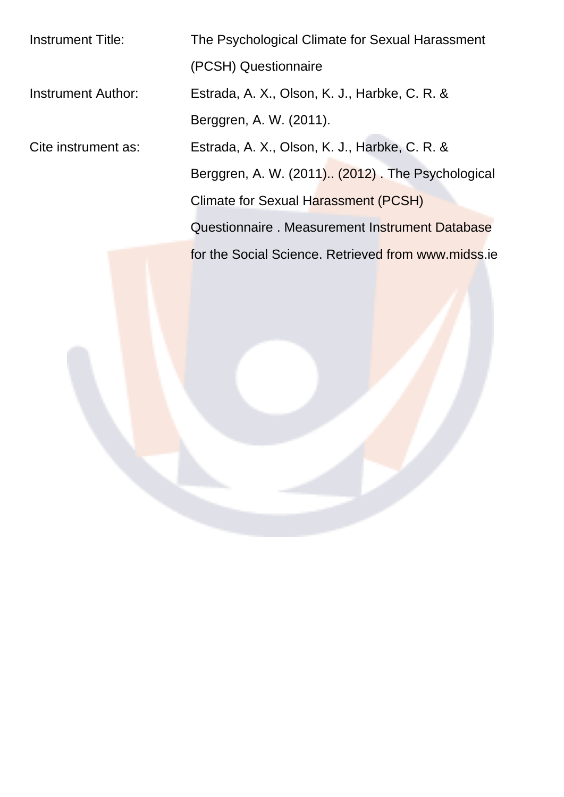| <b>Instrument Title:</b> | The Psychological Climate for Sexual Harassment     |  |  |  |  |
|--------------------------|-----------------------------------------------------|--|--|--|--|
|                          | (PCSH) Questionnaire                                |  |  |  |  |
| Instrument Author:       | Estrada, A. X., Olson, K. J., Harbke, C. R. &       |  |  |  |  |
|                          | Berggren, A. W. (2011).                             |  |  |  |  |
| Cite instrument as:      | Estrada, A. X., Olson, K. J., Harbke, C. R. &       |  |  |  |  |
|                          | Berggren, A. W. (2011) (2012). The Psychological    |  |  |  |  |
|                          | Climate for Sexual Harassment (PCSH)                |  |  |  |  |
|                          | Questionnaire. Measurement Instrument Database      |  |  |  |  |
|                          | for the Social Science. Retrieved from www.midss.ie |  |  |  |  |
|                          |                                                     |  |  |  |  |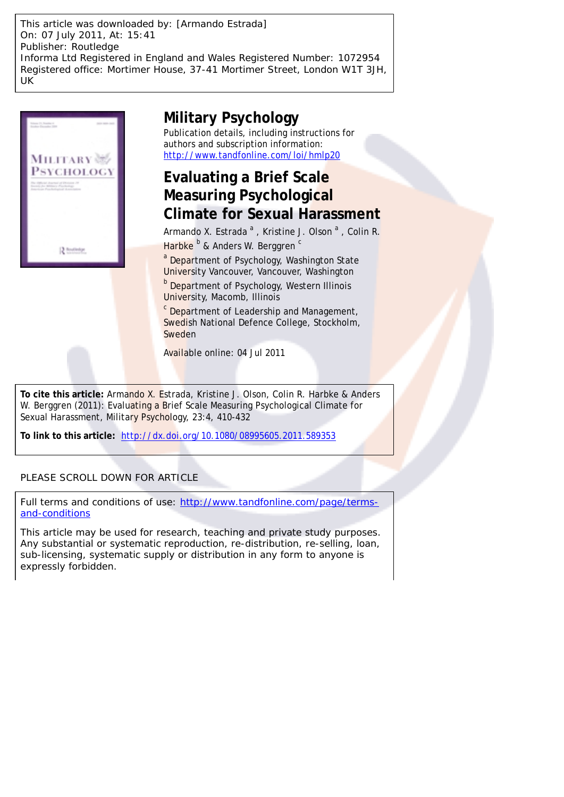This article was downloaded by: [Armando Estrada] On: 07 July 2011, At: 15:41 Publisher: Routledge Informa Ltd Registered in England and Wales Registered Number: 1072954 Registered office: Mortimer House, 37-41 Mortimer Street, London W1T 3JH, UK



# **Military Psychology**

Publication details, including instructions for authors and subscription information: http://www.tandfonline.com/loi/hmlp20

# **Evaluating a Brief Scale Measuring Psychological Climate for Sexual Harassment**

Armando X. Estrada<sup>a</sup>, Kristine J. Olson<sup>a</sup>, Colin R. Harbke  $^{\text{b}}$  & Anders W. Berggren  $^{\text{c}}$ 

<sup>a</sup> Department of Psychology, Washington State University Vancouver, Vancouver, Washington **b** Department of Psychology, Western Illinois University, Macomb, Illinois

<sup>c</sup> Department of Leadership and Management, Swedish National Defence College, Stockholm, Sweden

Available online: 04 Jul 2011

**To cite this article:** Armando X. Estrada, Kristine J. Olson, Colin R. Harbke & Anders W. Berggren (2011): Evaluating a Brief Scale Measuring Psychological Climate for Sexual Harassment, Military Psychology, 23:4, 410-432

**To link to this article:** http://dx.doi.org/10.1080/08995605.2011.589353

PLEASE SCROLL DOWN FOR ARTICLE

Full terms and conditions of use: http://www.tandfonline.com/page/termsand-conditions

This article may be used for research, teaching and private study purposes. Any substantial or systematic reproduction, re-distribution, re-selling, loan, sub-licensing, systematic supply or distribution in any form to anyone is expressly forbidden.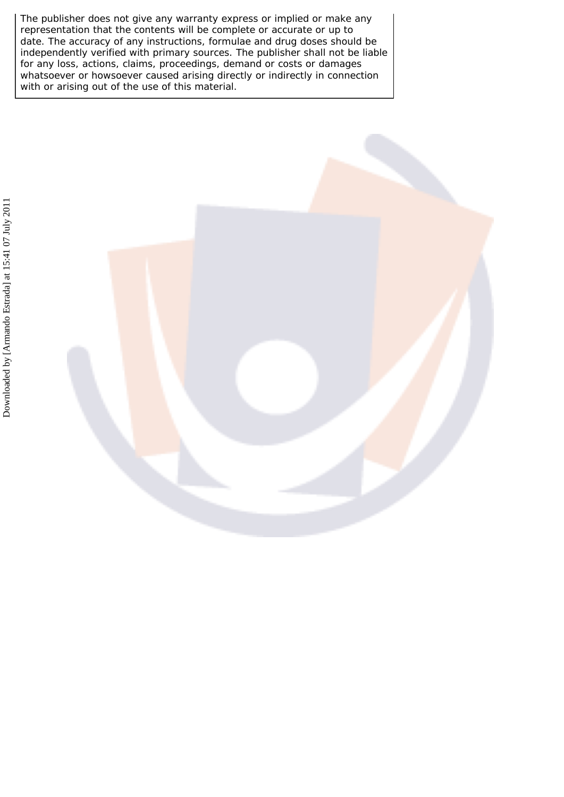The publisher does not give any warranty express or implied or make any representation that the contents will be complete or accurate or up to date. The accuracy of any instructions, formulae and drug doses should be independently verified with primary sources. The publisher shall not be liable for any loss, actions, claims, proceedings, demand or costs or damages whatsoever or howsoever caused arising directly or indirectly in connection with or arising out of the use of this material.

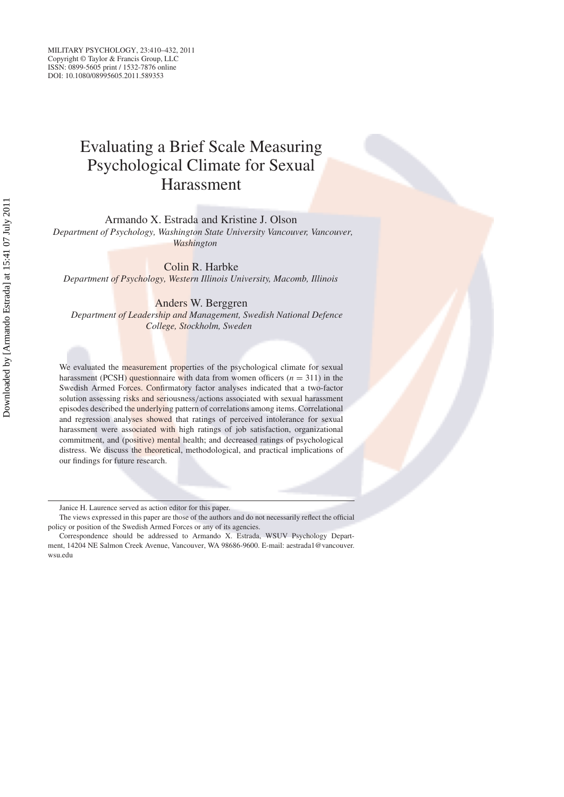MILITARY PSYCHOLOGY, 23:410–432, 2011 Copyright © Taylor & Francis Group, LLC ISSN: 0899-5605 print / 1532-7876 online DOI: 10.1080/08995605.2011.589353

# Evaluating a Brief Scale Measuring Psychological Climate for Sexual Harassment

Armando X. Estrada and Kristine J. Olson

*Department of Psychology, Washington State University Vancouver, Vancouver, Washington*

Colin R. Harbke

*Department of Psychology, Western Illinois University, Macomb, Illinois*

Anders W. Berggren

*Department of Leadership and Management, Swedish National Defence College, Stockholm, Sweden*

We evaluated the measurement properties of the psychological climate for sexual harassment (PCSH) questionnaire with data from women officers  $(n = 311)$  in the Swedish Armed Forces. Confirmatory factor analyses indicated that a two-factor solution assessing risks and seriousness/actions associated with sexual harassment episodes described the underlying pattern of correlations among items. Correlational and regression analyses showed that ratings of perceived intolerance for sexual harassment were associated with high ratings of job satisfaction, organizational commitment, and (positive) mental health; and decreased ratings of psychological distress. We discuss the theoretical, methodological, and practical implications of our findings for future research.

Janice H. Laurence served as action editor for this paper.

The views expressed in this paper are those of the authors and do not necessarily reflect the official policy or position of the Swedish Armed Forces or any of its agencies.

Correspondence should be addressed to Armando X. Estrada, WSUV Psychology Department, 14204 NE Salmon Creek Avenue, Vancouver, WA 98686-9600. E-mail: aestrada1@vancouver. wsu.edu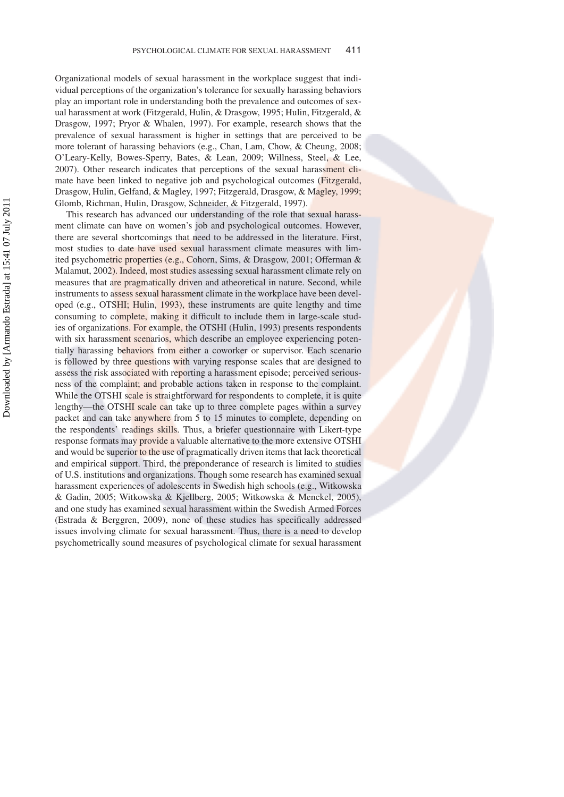Organizational models of sexual harassment in the workplace suggest that individual perceptions of the organization's tolerance for sexually harassing behaviors play an important role in understanding both the prevalence and outcomes of sexual harassment at work (Fitzgerald, Hulin, & Drasgow, 1995; Hulin, Fitzgerald, & Drasgow, 1997; Pryor & Whalen, 1997). For example, research shows that the prevalence of sexual harassment is higher in settings that are perceived to be more tolerant of harassing behaviors (e.g., Chan, Lam, Chow, & Cheung, 2008; O'Leary-Kelly, Bowes-Sperry, Bates, & Lean, 2009; Willness, Steel, & Lee, 2007). Other research indicates that perceptions of the sexual harassment climate have been linked to negative job and psychological outcomes (Fitzgerald, Drasgow, Hulin, Gelfand, & Magley, 1997; Fitzgerald, Drasgow, & Magley, 1999; Glomb, Richman, Hulin, Drasgow, Schneider, & Fitzgerald, 1997).

This research has advanced our understanding of the role that sexual harassment climate can have on women's job and psychological outcomes. However, there are several shortcomings that need to be addressed in the literature. First, most studies to date have used sexual harassment climate measures with limited psychometric properties (e.g., Cohorn, Sims, & Drasgow, 2001; Offerman & Malamut, 2002). Indeed, most studies assessing sexual harassment climate rely on measures that are pragmatically driven and atheoretical in nature. Second, while instruments to assess sexual harassment climate in the workplace have been developed (e.g., OTSHI; Hulin, 1993), these instruments are quite lengthy and time consuming to complete, making it difficult to include them in large-scale studies of organizations. For example, the OTSHI (Hulin, 1993) presents respondents with six harassment scenarios, which describe an employee experiencing potentially harassing behaviors from either a coworker or supervisor. Each scenario is followed by three questions with varying response scales that are designed to assess the risk associated with reporting a harassment episode; perceived seriousness of the complaint; and probable actions taken in response to the complaint. While the OTSHI scale is straightforward for respondents to complete, it is quite lengthy—the OTSHI scale can take up to three complete pages within a survey packet and can take anywhere from 5 to 15 minutes to complete, depending on the respondents' readings skills. Thus, a briefer questionnaire with Likert-type response formats may provide a valuable alternative to the more extensive OTSHI and would be superior to the use of pragmatically driven items that lack theoretical and empirical support. Third, the preponderance of research is limited to studies of U.S. institutions and organizations. Though some research has examined sexual harassment experiences of adolescents in Swedish high schools (e.g., Witkowska & Gadin, 2005; Witkowska & Kjellberg, 2005; Witkowska & Menckel, 2005), and one study has examined sexual harassment within the Swedish Armed Forces (Estrada & Berggren, 2009), none of these studies has specifically addressed issues involving climate for sexual harassment. Thus, there is a need to develop psychometrically sound measures of psychological climate for sexual harassment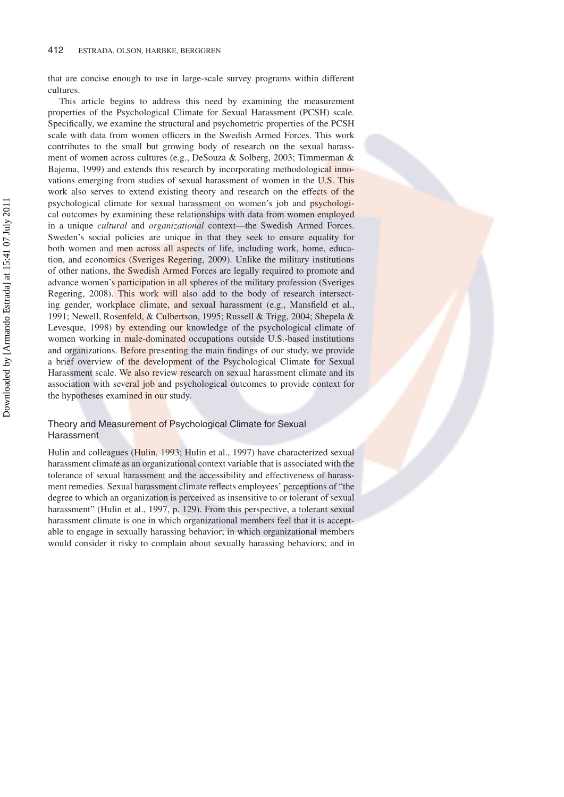that are concise enough to use in large-scale survey programs within different cultures.

This article begins to address this need by examining the measurement properties of the Psychological Climate for Sexual Harassment (PCSH) scale. Specifically, we examine the structural and psychometric properties of the PCSH scale with data from women officers in the Swedish Armed Forces. This work contributes to the small but growing body of research on the sexual harassment of women across cultures (e.g., DeSouza & Solberg, 2003; Timmerman & Bajema, 1999) and extends this research by incorporating methodological innovations emerging from studies of sexual harassment of women in the U.S. This work also serves to extend existing theory and research on the effects of the psychological climate for sexual harassment on women's job and psychological outcomes by examining these relationships with data from women employed in a unique *cultural* and *organizational* context—the Swedish Armed Forces. Sweden's social policies are unique in that they seek to ensure equality for both women and men across all aspects of life, including work, home, education, and economics (Sveriges Regering, 2009). Unlike the military institutions of other nations, the Swedish Armed Forces are legally required to promote and advance women's participation in all spheres of the military profession (Sveriges Regering, 2008). This work will also add to the body of research intersecting gender, workplace climate, and sexual harassment (e.g., Mansfield et al., 1991; Newell, Rosenfeld, & Culbertson, 1995; Russell & Trigg, 2004; Shepela & Levesque, 1998) by extending our knowledge of the psychological climate of women working in male-dominated occupations outside U.S.-based institutions and organizations. Before presenting the main findings of our study, we provide a brief overview of the development of the Psychological Climate for Sexual Harassment scale. We also review research on sexual harassment climate and its association with several job and psychological outcomes to provide context for the hypotheses examined in our study.

### Theory and Measurement of Psychological Climate for Sexual Harassment

Hulin and colleagues (Hulin, 1993; Hulin et al., 1997) have characterized sexual harassment climate as an organizational context variable that is associated with the tolerance of sexual harassment and the accessibility and effectiveness of harassment remedies. Sexual harassment climate reflects employees' perceptions of "the degree to which an organization is perceived as insensitive to or tolerant of sexual harassment" (Hulin et al., 1997, p. 129). From this perspective, a tolerant sexual harassment climate is one in which organizational members feel that it is acceptable to engage in sexually harassing behavior; in which organizational members would consider it risky to complain about sexually harassing behaviors; and in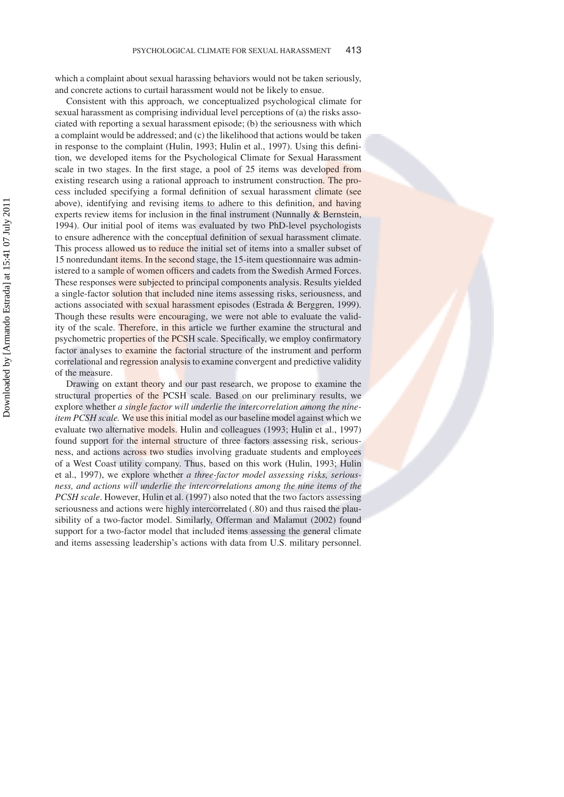which a complaint about sexual harassing behaviors would not be taken seriously, and concrete actions to curtail harassment would not be likely to ensue.

Consistent with this approach, we conceptualized psychological climate for sexual harassment as comprising individual level perceptions of (a) the risks associated with reporting a sexual harassment episode; (b) the seriousness with which a complaint would be addressed; and (c) the likelihood that actions would be taken in response to the complaint (Hulin, 1993; Hulin et al., 1997). Using this definition, we developed items for the Psychological Climate for Sexual Harassment scale in two stages. In the first stage, a pool of 25 items was developed from existing research using a rational approach to instrument construction. The process included specifying a formal definition of sexual harassment climate (see above), identifying and revising items to adhere to this definition, and having experts review items for inclusion in the final instrument (Nunnally  $\&$  Bernstein, 1994). Our initial pool of items was evaluated by two PhD-level psychologists to ensure adherence with the conceptual definition of sexual harassment climate. This process allowed us to reduce the initial set of items into a smaller subset of 15 nonredundant items. In the second stage, the 15-item questionnaire was administered to a sample of women officers and cadets from the Swedish Armed Forces. These responses were subjected to principal components analysis. Results yielded a single-factor solution that included nine items assessing risks, seriousness, and actions associated with sexual harassment episodes (Estrada & Berggren, 1999). Though these results were encouraging, we were not able to evaluate the validity of the scale. Therefore, in this article we further examine the structural and psychometric properties of the PCSH scale. Specifically, we employ confirmatory factor analyses to examine the factorial structure of the instrument and perform correlational and regression analysis to examine convergent and predictive validity of the measure.

Drawing on extant theory and our past research, we propose to examine the structural properties of the PCSH scale. Based on our preliminary results, we explore whether *a single factor will underlie the intercorrelation among the nineitem PCSH scale.* We use this initial model as our baseline model against which we evaluate two alternative models. Hulin and colleagues (1993; Hulin et al., 1997) found support for the internal structure of three factors assessing risk, seriousness, and actions across two studies involving graduate students and employees of a West Coast utility company. Thus, based on this work (Hulin, 1993; Hulin et al., 1997), we explore whether *a three-factor model assessing risks, seriousness, and actions will underlie the intercorrelations among the nine items of the PCSH scale*. However, Hulin et al. (1997) also noted that the two factors assessing seriousness and actions were highly intercorrelated (.80) and thus raised the plausibility of a two-factor model. Similarly, Offerman and Malamut (2002) found support for a two-factor model that included items assessing the general climate and items assessing leadership's actions with data from U.S. military personnel.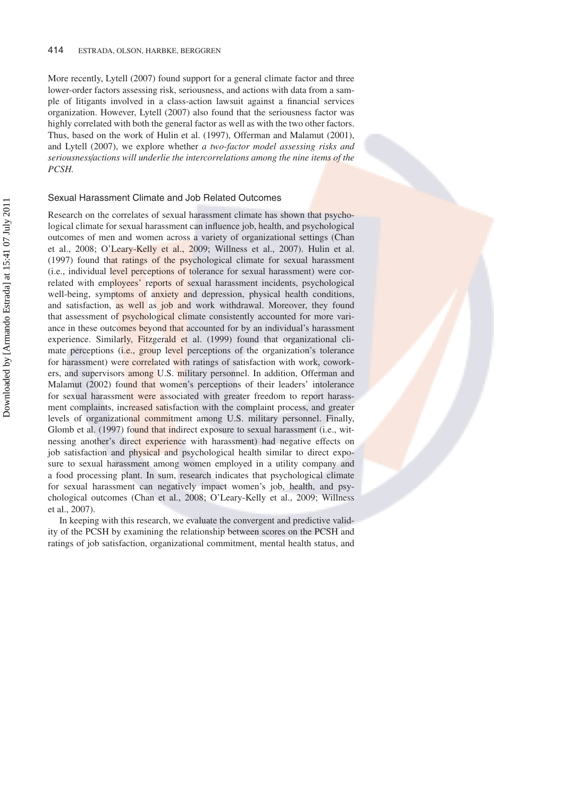More recently, Lytell (2007) found support for a general climate factor and three lower-order factors assessing risk, seriousness, and actions with data from a sample of litigants involved in a class-action lawsuit against a financial services organization. However, Lytell (2007) also found that the seriousness factor was highly correlated with both the general factor as well as with the two other factors. Thus, based on the work of Hulin et al. (1997), Offerman and Malamut (2001), and Lytell (2007), we explore whether *a two-factor model assessing risks and seriousness*/*actions will underlie the intercorrelations among the nine items of the PCSH.*

### Sexual Harassment Climate and Job Related Outcomes

Research on the correlates of sexual harassment climate has shown that psychological climate for sexual harassment can influence job, health, and psychological outcomes of men and women across a variety of organizational settings (Chan et al., 2008; O'Leary-Kelly et al., 2009; Willness et al., 2007). Hulin et al. (1997) found that ratings of the psychological climate for sexual harassment (i.e., individual level perceptions of tolerance for sexual harassment) were correlated with employees' reports of sexual harassment incidents, psychological well-being, symptoms of anxiety and depression, physical health conditions, and satisfaction, as well as job and work withdrawal. Moreover, they found that assessment of psychological climate consistently accounted for more variance in these outcomes beyond that accounted for by an individual's harassment experience. Similarly, Fitzgerald et al. (1999) found that organizational climate perceptions (i.e., group level perceptions of the organization's tolerance for harassment) were correlated with ratings of satisfaction with work, coworkers, and supervisors among U.S. military personnel. In addition, Offerman and Malamut (2002) found that women's perceptions of their leaders' intolerance for sexual harassment were associated with greater freedom to report harassment complaints, increased satisfaction with the complaint process, and greater levels of organizational commitment among U.S. military personnel. Finally, Glomb et al. (1997) found that indirect exposure to sexual harassment (i.e., witnessing another's direct experience with harassment) had negative effects on job satisfaction and physical and psychological health similar to direct exposure to sexual harassment among women employed in a utility company and a food processing plant. In sum, research indicates that psychological climate for sexual harassment can negatively impact women's job, health, and psychological outcomes (Chan et al., 2008; O'Leary-Kelly et al., 2009; Willness et al., 2007).

In keeping with this research, we evaluate the convergent and predictive validity of the PCSH by examining the relationship between scores on the PCSH and ratings of job satisfaction, organizational commitment, mental health status, and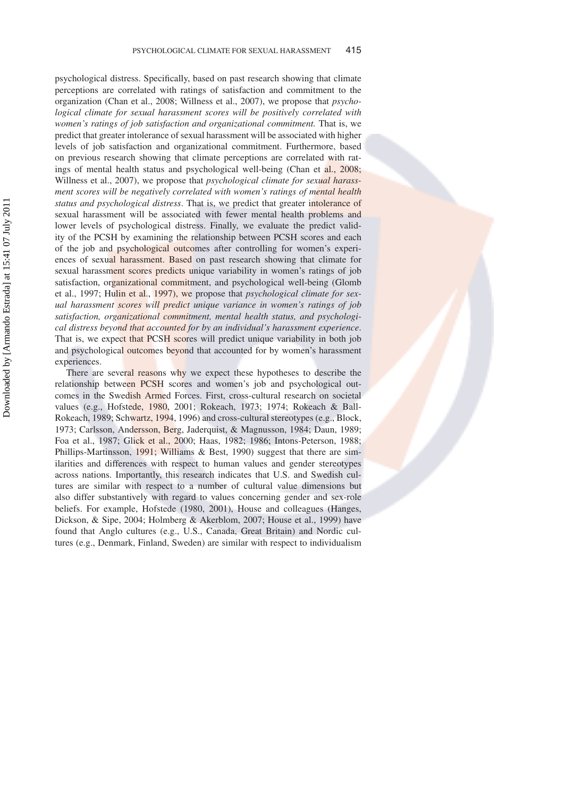psychological distress. Specifically, based on past research showing that climate perceptions are correlated with ratings of satisfaction and commitment to the organization (Chan et al., 2008; Willness et al., 2007), we propose that *psychological climate for sexual harassment scores will be positively correlated with women's ratings of job satisfaction and organizational commitment.* That is, we predict that greater intolerance of sexual harassment will be associated with higher levels of job satisfaction and organizational commitment. Furthermore, based on previous research showing that climate perceptions are correlated with ratings of mental health status and psychological well-being (Chan et al., 2008; Willness et al., 2007), we propose that *psychological climate for sexual harassment scores will be negatively correlated with women's ratings of mental health status and psychological distress*. That is, we predict that greater intolerance of sexual harassment will be associated with fewer mental health problems and lower levels of psychological distress. Finally, we evaluate the predict validity of the PCSH by examining the relationship between PCSH scores and each of the job and psychological outcomes after controlling for women's experiences of sexual harassment. Based on past research showing that climate for sexual harassment scores predicts unique variability in women's ratings of job satisfaction, organizational commitment, and psychological well-being (Glomb et al., 1997; Hulin et al., 1997), we propose that *psychological climate for sexual harassment scores will predict unique variance in women's ratings of job satisfaction, organizational commitment, mental health status, and psychological distress beyond that accounted for by an individual's harassment experience*. That is, we expect that PCSH scores will predict unique variability in both job and psychological outcomes beyond that accounted for by women's harassment experiences.

There are several reasons why we expect these hypotheses to describe the relationship between PCSH scores and women's job and psychological outcomes in the Swedish Armed Forces. First, cross-cultural research on societal values (e.g., Hofstede, 1980, 2001; Rokeach, 1973; 1974; Rokeach & Ball-Rokeach, 1989; Schwartz, 1994, 1996) and cross-cultural stereotypes (e.g., Block, 1973; Carlsson, Andersson, Berg, Jaderquist, & Magnusson, 1984; Daun, 1989; Foa et al., 1987; Glick et al., 2000; Haas, 1982; 1986; Intons-Peterson, 1988; Phillips-Martinsson, 1991; Williams & Best, 1990) suggest that there are similarities and differences with respect to human values and gender stereotypes across nations. Importantly, this research indicates that U.S. and Swedish cultures are similar with respect to a number of cultural value dimensions but also differ substantively with regard to values concerning gender and sex-role beliefs. For example, Hofstede (1980, 2001), House and colleagues (Hanges, Dickson, & Sipe, 2004; Holmberg & Akerblom, 2007; House et al., 1999) have found that Anglo cultures (e.g., U.S., Canada, Great Britain) and Nordic cultures (e.g., Denmark, Finland, Sweden) are similar with respect to individualism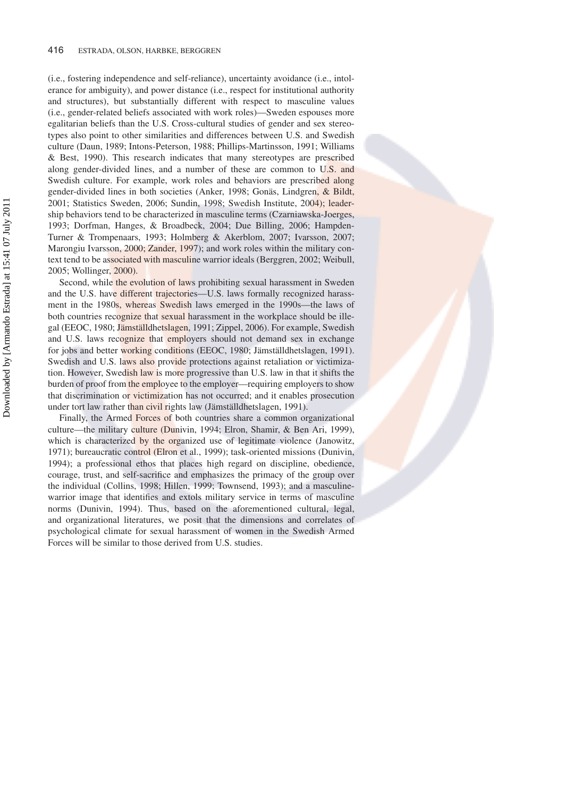(i.e., fostering independence and self-reliance), uncertainty avoidance (i.e., intolerance for ambiguity), and power distance (i.e., respect for institutional authority and structures), but substantially different with respect to masculine values (i.e., gender-related beliefs associated with work roles)—Sweden espouses more egalitarian beliefs than the U.S. Cross-cultural studies of gender and sex stereotypes also point to other similarities and differences between U.S. and Swedish culture (Daun, 1989; Intons-Peterson, 1988; Phillips-Martinsson, 1991; Williams & Best, 1990). This research indicates that many stereotypes are prescribed along gender-divided lines, and a number of these are common to U.S. and Swedish culture. For example, work roles and behaviors are prescribed along gender-divided lines in both societies (Anker, 1998; Gonäs, Lindgren, & Bildt, 2001; Statistics Sweden, 2006; Sundin, 1998; Swedish Institute, 2004); leadership behaviors tend to be characterized in masculine terms (Czarniawska-Joerges, 1993; Dorfman, Hanges, & Broadbeck, 2004; Due Billing, 2006; Hampden-Turner & Trompenaars, 1993; Holmberg & Akerblom, 2007; Ivarsson, 2007; Marongiu Ivarsson, 2000; Zander, 1997); and work roles within the military context tend to be associated with masculine warrior ideals (Berggren, 2002; Weibull, 2005; Wollinger, 2000).

Second, while the evolution of laws prohibiting sexual harassment in Sweden and the U.S. have different trajectories—U.S. laws formally recognized harassment in the 1980s, whereas Swedish laws emerged in the 1990s—the laws of both countries recognize that sexual harassment in the workplace should be illegal (EEOC, 1980; Jämställdhetslagen, 1991; Zippel, 2006). For example, Swedish and U.S. laws recognize that employers should not demand sex in exchange for jobs and better working conditions (EEOC, 1980; Jämställdhetslagen, 1991). Swedish and U.S. laws also provide protections against retaliation or victimization. However, Swedish law is more progressive than U.S. law in that it shifts the burden of proof from the employee to the employer—requiring employers to show that discrimination or victimization has not occurred; and it enables prosecution under tort law rather than civil rights law (Jämställdhetslagen, 1991).

Finally, the Armed Forces of both countries share a common organizational culture—the military culture (Dunivin, 1994; Elron, Shamir, & Ben Ari, 1999), which is characterized by the organized use of legitimate violence (Janowitz, 1971); bureaucratic control (Elron et al., 1999); task-oriented missions (Dunivin, 1994); a professional ethos that places high regard on discipline, obedience, courage, trust, and self-sacrifice and emphasizes the primacy of the group over the individual (Collins, 1998; Hillen, 1999; Townsend, 1993); and a masculinewarrior image that identifies and extols military service in terms of masculine norms (Dunivin, 1994). Thus, based on the aforementioned cultural, legal, and organizational literatures, we posit that the dimensions and correlates of psychological climate for sexual harassment of women in the Swedish Armed Forces will be similar to those derived from U.S. studies.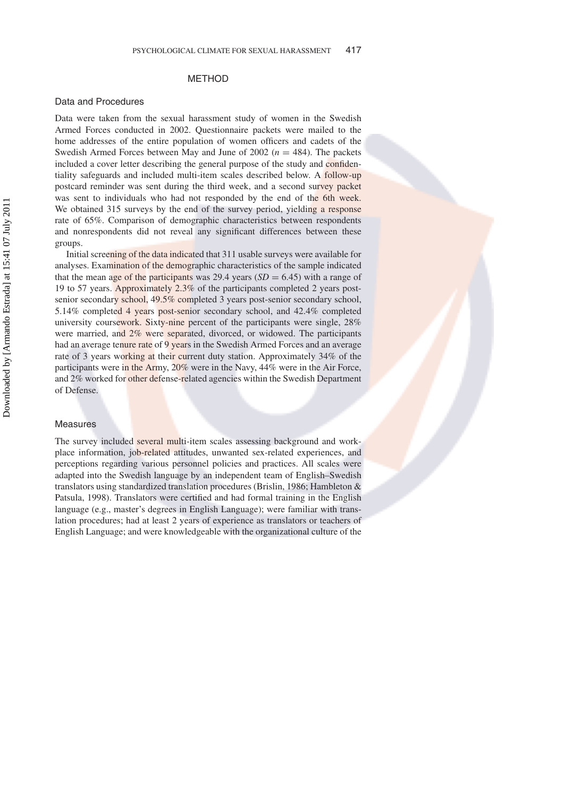#### METHOD

### Data and Procedures

Data were taken from the sexual harassment study of women in the Swedish Armed Forces conducted in 2002. Questionnaire packets were mailed to the home addresses of the entire population of women officers and cadets of the Swedish Armed Forces between May and June of 2002 ( $n = 484$ ). The packets included a cover letter describing the general purpose of the study and confidentiality safeguards and included multi-item scales described below. A follow-up postcard reminder was sent during the third week, and a second survey packet was sent to individuals who had not responded by the end of the 6th week. We obtained 315 surveys by the end of the survey period, yielding a response rate of 65%. Comparison of demographic characteristics between respondents and nonrespondents did not reveal any significant differences between these groups.

Initial screening of the data indicated that 311 usable surveys were available for analyses. Examination of the demographic characteristics of the sample indicated that the mean age of the participants was 29.4 years  $(SD = 6.45)$  with a range of 19 to 57 years. Approximately 2.3% of the participants completed 2 years postsenior secondary school, 49.5% completed 3 years post-senior secondary school, 5.14% completed 4 years post-senior secondary school, and 42.4% completed university coursework. Sixty-nine percent of the participants were single, 28% were married, and 2% were separated, divorced, or widowed. The participants had an average tenure rate of 9 years in the Swedish Armed Forces and an average rate of 3 years working at their current duty station. Approximately 34% of the participants were in the Army, 20% were in the Navy, 44% were in the Air Force, and 2% worked for other defense-related agencies within the Swedish Department of Defense.

#### Measures

The survey included several multi-item scales assessing background and workplace information, job-related attitudes, unwanted sex-related experiences, and perceptions regarding various personnel policies and practices. All scales were adapted into the Swedish language by an independent team of English–Swedish translators using standardized translation procedures (Brislin, 1986; Hambleton & Patsula, 1998). Translators were certified and had formal training in the English language (e.g., master's degrees in English Language); were familiar with translation procedures; had at least 2 years of experience as translators or teachers of English Language; and were knowledgeable with the organizational culture of the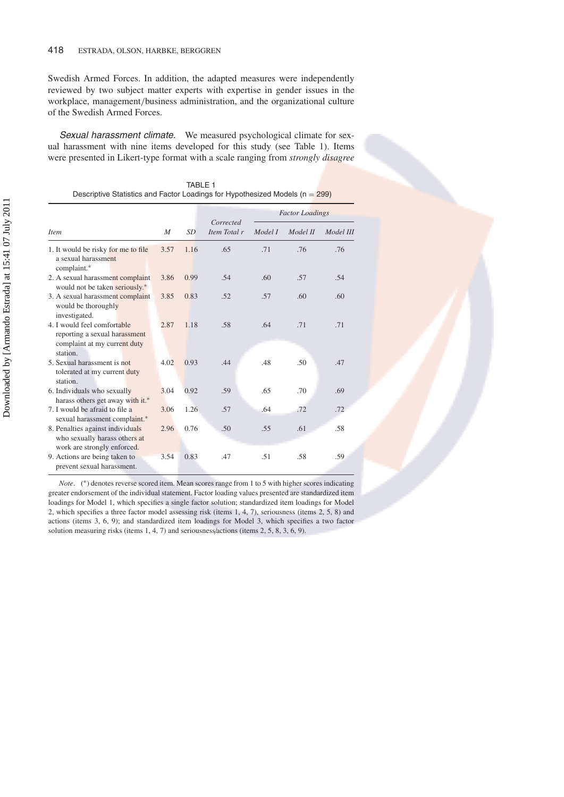Swedish Armed Forces. In addition, the adapted measures were independently reviewed by two subject matter experts with expertise in gender issues in the workplace, management/business administration, and the organizational culture of the Swedish Armed Forces.

*Sexual harassment climate.* We measured psychological climate for sexual harassment with nine items developed for this study (see Table 1). Items were presented in Likert-type format with a scale ranging from *strongly disagree*

| Descriptive Statistics and Factor Loadings for Hypothesized Models ( $n = 299$ )                         |      |           |                           |                        |          |           |  |  |  |
|----------------------------------------------------------------------------------------------------------|------|-----------|---------------------------|------------------------|----------|-----------|--|--|--|
|                                                                                                          |      |           |                           | <b>Factor Loadings</b> |          |           |  |  |  |
| <i>Item</i>                                                                                              | M    | <b>SD</b> | Corrected<br>Item Total r | Model I                | Model II | Model III |  |  |  |
| 1. It would be risky for me to file<br>a sexual harassment<br>complaint.*                                | 3.57 | 1.16      | .65                       | .71                    | .76      | .76       |  |  |  |
| 2. A sexual harassment complaint<br>would not be taken seriously.*                                       | 3.86 | 0.99      | .54                       | .60                    | .57      | .54       |  |  |  |
| 3. A sexual harassment complaint<br>would be thoroughly<br>investigated.                                 | 3.85 | 0.83      | .52                       | .57                    | .60      | .60       |  |  |  |
| 4. I would feel comfortable<br>reporting a sexual harassment<br>complaint at my current duty<br>station. | 2.87 | 1.18      | .58                       | .64                    | .71      | .71       |  |  |  |
| 5. Sexual harassment is not<br>tolerated at my current duty<br>station.                                  | 4.02 | 0.93      | .44                       | .48                    | .50      | .47       |  |  |  |
| 6. Individuals who sexually<br>harass others get away with it.*                                          | 3.04 | 0.92      | .59                       | .65                    | .70      | .69       |  |  |  |
| 7. I would be afraid to file a<br>sexual harassment complaint.*                                          | 3.06 | 1.26      | .57                       | .64                    | .72      | .72       |  |  |  |
| 8. Penalties against individuals<br>who sexually harass others at<br>work are strongly enforced.         | 2.96 | 0.76      | .50                       | .55                    | .61      | .58       |  |  |  |
| 9. Actions are being taken to<br>prevent sexual harassment.                                              | 3.54 | 0.83      | .47                       | .51                    | .58      | .59       |  |  |  |

TABLE 1

*Note.* (\*) denotes reverse scored item. Mean scores range from 1 to 5 with higher scores indicating greater endorsement of the individual statement. Factor loading values presented are standardized item loadings for Model 1, which specifies a single factor solution; standardized item loadings for Model 2, which specifies a three factor model assessing risk (items 1, 4, 7), seriousness (items 2, 5, 8) and actions (items 3, 6, 9); and standardized item loadings for Model 3, which specifies a two factor solution measuring risks (items 1, 4, 7) and seriousness/actions (items 2, 5, 8, 3, 6, 9).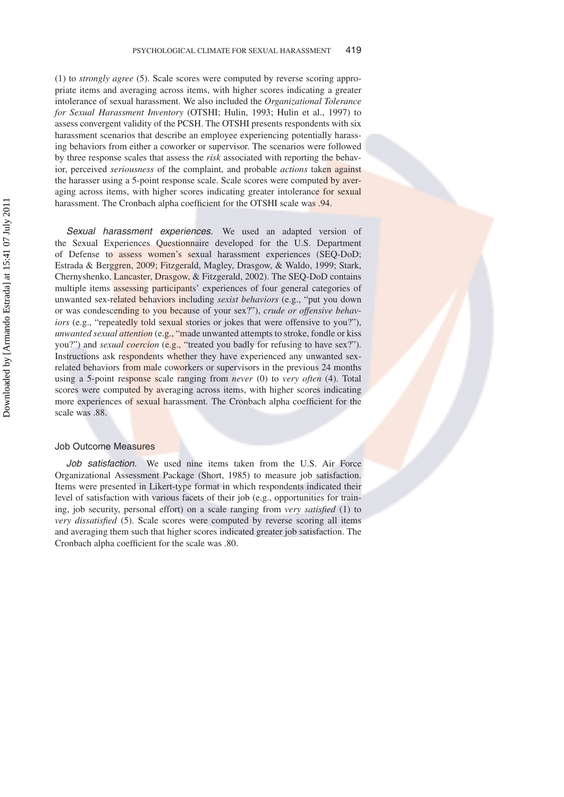(1) to *strongly agree* (5). Scale scores were computed by reverse scoring appropriate items and averaging across items, with higher scores indicating a greater intolerance of sexual harassment. We also included the *Organizational Tolerance for Sexual Harassment Inventory* (OTSHI; Hulin, 1993; Hulin et al., 1997) to assess convergent validity of the PCSH. The OTSHI presents respondents with six harassment scenarios that describe an employee experiencing potentially harassing behaviors from either a coworker or supervisor. The scenarios were followed by three response scales that assess the *risk* associated with reporting the behavior, perceived *seriousness* of the complaint, and probable *actions* taken against the harasser using a 5-point response scale. Scale scores were computed by averaging across items, with higher scores indicating greater intolerance for sexual harassment. The Cronbach alpha coefficient for the OTSHI scale was .94.

*Sexual harassment experiences.* We used an adapted version of the Sexual Experiences Questionnaire developed for the U.S. Department of Defense to assess women's sexual harassment experiences (SEQ-DoD; Estrada & Berggren, 2009; Fitzgerald, Magley, Drasgow, & Waldo, 1999; Stark, Chernyshenko, Lancaster, Drasgow, & Fitzgerald, 2002). The SEQ-DoD contains multiple items assessing participants' experiences of four general categories of unwanted sex-related behaviors including *sexist behaviors* (e.g., "put you down or was condescending to you because of your sex?"), *crude or offensive behaviors* (e.g., "repeatedly told sexual stories or jokes that were offensive to you?"), *unwanted sexual attention* (e.g., "made unwanted attempts to stroke, fondle or kiss you?") and *sexual coercion* (e.g., "treated you badly for refusing to have sex?"). Instructions ask respondents whether they have experienced any unwanted sexrelated behaviors from male coworkers or supervisors in the previous 24 months using a 5-point response scale ranging from *never* (0) to *very often* (4). Total scores were computed by averaging across items, with higher scores indicating more experiences of sexual harassment. The Cronbach alpha coefficient for the scale was .88.

#### Job Outcome Measures

*Job satisfaction.* We used nine items taken from the U.S. Air Force Organizational Assessment Package (Short, 1985) to measure job satisfaction. Items were presented in Likert-type format in which respondents indicated their level of satisfaction with various facets of their job (e.g., opportunities for training, job security, personal effort) on a scale ranging from *very satisfied* (1) to *very dissatisfied* (5). Scale scores were computed by reverse scoring all items and averaging them such that higher scores indicated greater job satisfaction. The Cronbach alpha coefficient for the scale was .80.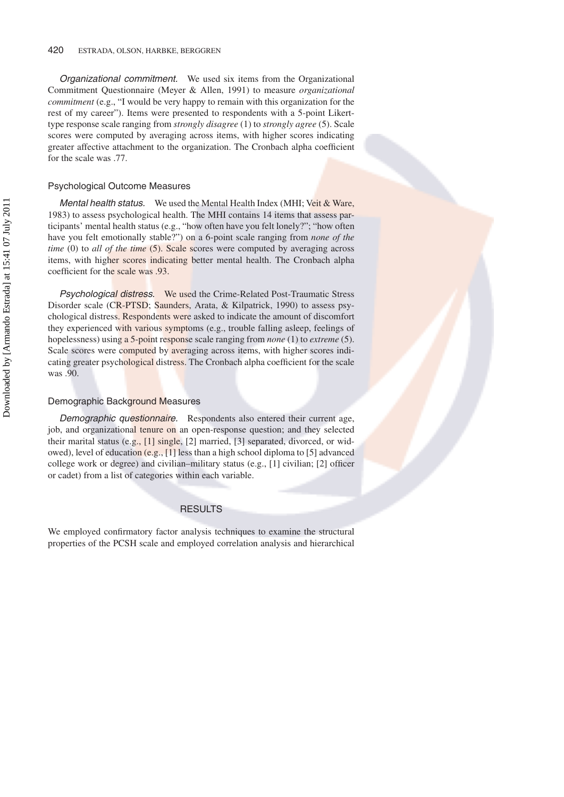*Organizational commitment.* We used six items from the Organizational Commitment Questionnaire (Meyer & Allen, 1991) to measure *organizational commitment* (e.g., "I would be very happy to remain with this organization for the rest of my career"). Items were presented to respondents with a 5-point Likerttype response scale ranging from *strongly disagree* (1) to *strongly agree* (5). Scale scores were computed by averaging across items, with higher scores indicating greater affective attachment to the organization. The Cronbach alpha coefficient for the scale was .77.

### Psychological Outcome Measures

*Mental health status.* We used the Mental Health Index (MHI; Veit & Ware, 1983) to assess psychological health. The MHI contains 14 items that assess participants' mental health status (e.g., "how often have you felt lonely?"; "how often have you felt emotionally stable?") on a 6-point scale ranging from *none of the time* (0) to *all of the time* (5). Scale scores were computed by averaging across items, with higher scores indicating better mental health. The Cronbach alpha coefficient for the scale was .93.

*Psychological distress.* We used the Crime-Related Post-Traumatic Stress Disorder scale (CR-PTSD; Saunders, Arata, & Kilpatrick, 1990) to assess psychological distress. Respondents were asked to indicate the amount of discomfort they experienced with various symptoms (e.g., trouble falling asleep, feelings of hopelessness) using a 5-point response scale ranging from *none* (1) to *extreme* (5). Scale scores were computed by averaging across items, with higher scores indicating greater psychological distress. The Cronbach alpha coefficient for the scale was .90.

## Demographic Background Measures

*Demographic questionnaire.* Respondents also entered their current age, job, and organizational tenure on an open-response question; and they selected their marital status (e.g., [1] single, [2] married, [3] separated, divorced, or widowed), level of education (e.g., [1] less than a high school diploma to [5] advanced college work or degree) and civilian–military status (e.g., [1] civilian; [2] officer or cadet) from a list of categories within each variable.

## **RESULTS**

We employed confirmatory factor analysis techniques to examine the structural properties of the PCSH scale and employed correlation analysis and hierarchical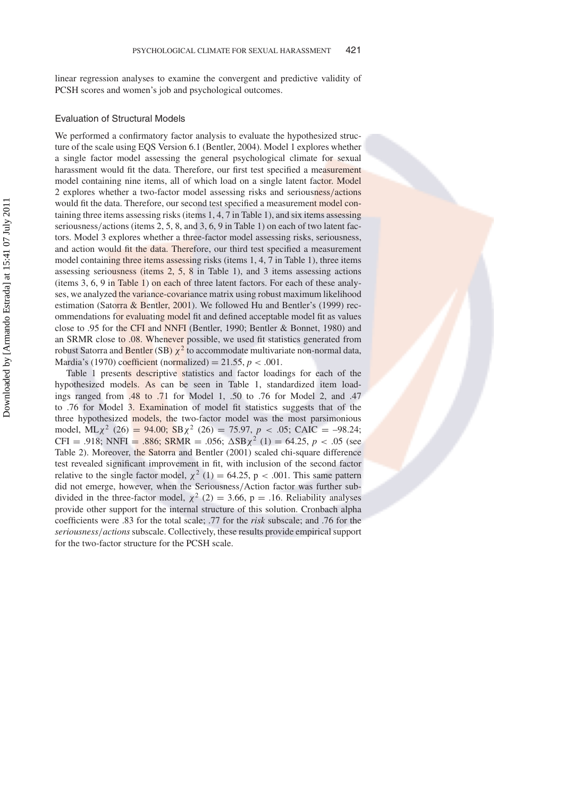linear regression analyses to examine the convergent and predictive validity of PCSH scores and women's job and psychological outcomes.

#### Evaluation of Structural Models

We performed a confirmatory factor analysis to evaluate the hypothesized structure of the scale using EQS Version 6.1 (Bentler, 2004). Model 1 explores whether a single factor model assessing the general psychological climate for sexual harassment would fit the data. Therefore, our first test specified a measurement model containing nine items, all of which load on a single latent factor. Model 2 explores whether a two-factor model assessing risks and seriousness/actions would fit the data. Therefore, our second test specified a measurement model containing three items assessing risks (items 1, 4, 7 in Table 1), and six items assessing seriousness/actions (items 2, 5, 8, and 3, 6, 9 in Table 1) on each of two latent factors. Model 3 explores whether a three-factor model assessing risks, seriousness, and action would fit the data. Therefore, our third test specified a measurement model containing three items assessing risks (items 1, 4, 7 in Table 1), three items assessing seriousness (items 2, 5, 8 in Table 1), and 3 items assessing actions (items 3, 6, 9 in Table 1) on each of three latent factors. For each of these analyses, we analyzed the variance-covariance matrix using robust maximum likelihood estimation (Satorra & Bentler, 2001). We followed Hu and Bentler's (1999) recommendations for evaluating model fit and defined acceptable model fit as values close to .95 for the CFI and NNFI (Bentler, 1990; Bentler & Bonnet, 1980) and an SRMR close to .08. Whenever possible, we used fit statistics generated from robust Satorra and Bentler (SB)  $\chi^2$  to accommodate multivariate non-normal data, Mardia's (1970) coefficient (normalized) =  $21.55$ ,  $p < .001$ .

Table 1 presents descriptive statistics and factor loadings for each of the hypothesized models. As can be seen in Table 1, standardized item loadings ranged from .48 to .71 for Model 1, .50 to .76 for Model 2, and .47 to .76 for Model 3. Examination of model fit statistics suggests that of the three hypothesized models, the two-factor model was the most parsimonious model,  $ML\chi^2$  (26) = 94.00;  $SB\chi^2$  (26) = 75.97, *p* < .05; CAIC = -98.24; CFI = .918; NNFI = .886; SRMR = .056;  $\Delta SB\chi^2$  (1) = 64.25, *p* < .05 (see Table 2). Moreover, the Satorra and Bentler (2001) scaled chi-square difference test revealed significant improvement in fit, with inclusion of the second factor relative to the single factor model,  $\chi^2$  (1) = 64.25, p < .001. This same pattern did not emerge, however, when the Seriousness/Action factor was further subdivided in the three-factor model,  $\chi^2$  (2) = 3.66, p = .16. Reliability analyses provide other support for the internal structure of this solution. Cronbach alpha coefficients were .83 for the total scale; .77 for the *risk* subscale; and .76 for the *seriousness*/*actions* subscale. Collectively, these results provide empirical support for the two-factor structure for the PCSH scale.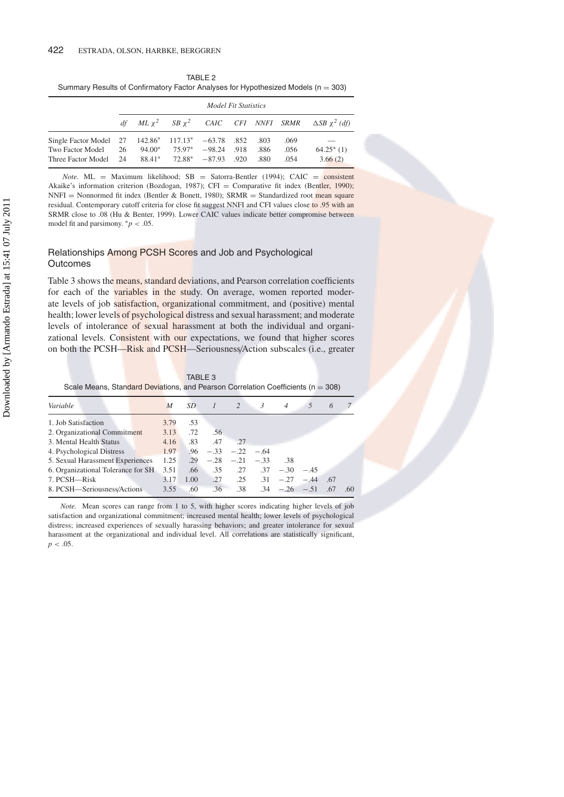| TABLE 2                                                                               |
|---------------------------------------------------------------------------------------|
| Summary Results of Confirmatory Factor Analyses for Hypothesized Models ( $n = 303$ ) |

|                                                                                                                                                                          | Model Fit Statistics |  |  |  |              |                      |                                                                           |  |  |  |
|--------------------------------------------------------------------------------------------------------------------------------------------------------------------------|----------------------|--|--|--|--------------|----------------------|---------------------------------------------------------------------------|--|--|--|
|                                                                                                                                                                          |                      |  |  |  |              |                      | df $ML\chi^2$ SB $\chi^2$ CAIC CFI NNFI SRMR $\triangle$ SB $\chi^2$ (df) |  |  |  |
| 803. 852 878 Single Factor Model 27 142.86* 117.13* -63.78<br>Two Factor Model 26 94.00* 75.97* -98.24 .918<br>Three Factor Model $24$ $88.41^*$ $72.88^*$ $-87.93$ .920 |                      |  |  |  | .886<br>.880 | .069<br>.056<br>.054 | $64.25^*$ (1)<br>3.66(2)                                                  |  |  |  |

*Note.* ML = Maximum likelihood;  $SB =$  Satorra-Bentler (1994); CAIC = consistent Akaike's information criterion (Bozdogan, 1987); CFI = Comparative fit index (Bentler, 1990); NNFI = Nonnormed fit index (Bentler & Bonett, 1980); SRMR = Standardized root mean square residual. Contemporary cutoff criteria for close fit suggest NNFI and CFI values close to .95 with an SRMR close to .08 (Hu & Benter, 1999). Lower CAIC values indicate better compromise between model fit and parsimony.  $^*p < .05$ .

### Relationships Among PCSH Scores and Job and Psychological **Outcomes**

Table 3 shows the means, standard deviations, and Pearson correlation coefficients for each of the variables in the study. On average, women reported moderate levels of job satisfaction, organizational commitment, and (positive) mental health; lower levels of psychological distress and sexual harassment; and moderate levels of intolerance of sexual harassment at both the individual and organizational levels. Consistent with our expectations, we found that higher scores on both the PCSH—Risk and PCSH—Seriousness/Action subscales (i.e., greater

| TABLE 3                                                                              |
|--------------------------------------------------------------------------------------|
| Scale Means, Standard Deviations, and Pearson Correlation Coefficients ( $n = 308$ ) |
|                                                                                      |

| Variable                           | M    | SD   |        | 2   |              | $\overline{4}$    | .5     | 6   |     |
|------------------------------------|------|------|--------|-----|--------------|-------------------|--------|-----|-----|
| 1. Job Satisfaction                | 3.79 | .53  |        |     |              |                   |        |     |     |
| 2. Organizational Commitment       | 3.13 | .72  | .56    |     |              |                   |        |     |     |
| 3. Mental Health Status            | 4.16 | .83  | .47    | .27 |              |                   |        |     |     |
| 4. Psychological Distress          | 1.97 | .96  | $-.33$ |     | $-.22 - .64$ |                   |        |     |     |
| 5. Sexual Harassment Experiences   | 1.25 | .29  | $-.28$ |     | $-.21 - .33$ | -38               |        |     |     |
| 6. Organizational Tolerance for SH | 3.51 | .66  | .35    | .27 | .37          | $-.30$            | $-.45$ |     |     |
| 7. PCSH-Risk                       | 3.17 | 1.00 | .27    | .25 | .31          | $-.27$            | $-.44$ | .67 |     |
| 8. PCSH—Seriousness/Actions        | 3.55 | .60  | .36    | .38 |              | $.34 - .26 - .51$ |        | .67 | .60 |

*Note.* Mean scores can range from 1 to 5, with higher scores indicating higher levels of job satisfaction and organizational commitment; increased mental health; lower levels of psychological distress; increased experiences of sexually harassing behaviors; and greater intolerance for sexual harassment at the organizational and individual level. All correlations are statistically significant,  $p < .05$ .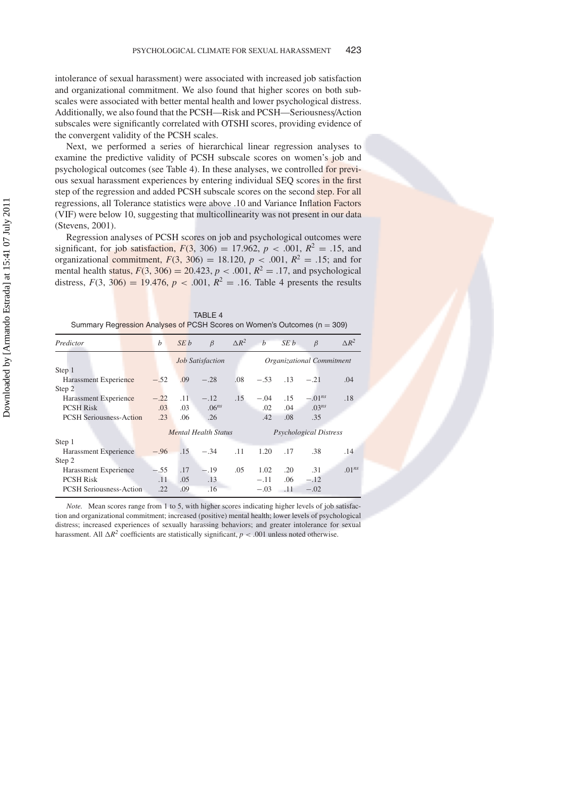intolerance of sexual harassment) were associated with increased job satisfaction and organizational commitment. We also found that higher scores on both subscales were associated with better mental health and lower psychological distress. Additionally, we also found that the PCSH—Risk and PCSH—Seriousness/Action subscales were significantly correlated with OTSHI scores, providing evidence of the convergent validity of the PCSH scales.

Next, we performed a series of hierarchical linear regression analyses to examine the predictive validity of PCSH subscale scores on women's job and psychological outcomes (see Table 4). In these analyses, we controlled for previous sexual harassment experiences by entering individual SEQ scores in the first step of the regression and added PCSH subscale scores on the second step. For all regressions, all Tolerance statistics were above .10 and Variance Inflation Factors (VIF) were below 10, suggesting that multicollinearity was not present in our data (Stevens, 2001).

Regression analyses of PCSH scores on job and psychological outcomes were significant, for job satisfaction,  $F(3, 306) = 17.962$ ,  $p < .001$ ,  $R^2 = .15$ , and organizational commitment,  $F(3, 306) = 18.120, p < .001, R^2 = .15$ ; and for mental health status,  $F(3, 306) = 20.423$ ,  $p < .001$ ,  $R<sup>2</sup> = .17$ , and psychological distress,  $F(3, 306) = 19.476$ ,  $p < .001$ ,  $R^2 = .16$ . Table 4 presents the results

|  | TABLE 4 |                                                                              |  |
|--|---------|------------------------------------------------------------------------------|--|
|  |         | Summary Regression Analyses of PCSH Scores on Women's Outcomes ( $n = 309$ ) |  |

| Predictor                      | $\boldsymbol{b}$ | SEb | $\beta$                     | $\Delta R^2$ | $\boldsymbol{b}$ | SE b | $\beta$                       | $\triangle R^2$ |
|--------------------------------|------------------|-----|-----------------------------|--------------|------------------|------|-------------------------------|-----------------|
|                                |                  |     | <b>Job Satisfaction</b>     |              |                  |      | Organizational Commitment     |                 |
| Step 1                         |                  |     |                             |              |                  |      |                               |                 |
| Harassment Experience          | $-.52$           | .09 | $-.28$                      | .08          | $-.53$           | .13  | $-.21$                        | .04             |
| Step 2                         |                  |     |                             |              |                  |      |                               |                 |
| Harassment Experience          | $-.22$           | .11 | $-.12$                      | .15          | $-.04$           | .15  | $-.01^{ns}$                   | .18             |
| <b>PCSH Risk</b>               | .03              | .03 | $.06^{ns}$                  |              | .02              | .04  | $.03^{ns}$                    |                 |
| <b>PCSH Seriousness-Action</b> | .23              | .06 | .26                         |              | .42              | .08  | .35                           |                 |
|                                |                  |     | <b>Mental Health Status</b> |              |                  |      | <b>Psychological Distress</b> |                 |
| Step 1                         |                  |     |                             |              |                  |      |                               |                 |
| Harassment Experience          | $-.96$           | .15 | $-.34$                      | .11          | 1.20             | .17  | .38                           | .14             |
| Step 2                         |                  |     |                             |              |                  |      |                               |                 |
| Harassment Experience          | $-.55$           | .17 | $-.19$                      | .05          | 1.02             | .20  | .31                           | $.01^{ns}$      |
| <b>PCSH Risk</b>               | .11              | .05 | .13                         |              | $-.11$           | .06  | $-.12$                        |                 |
| <b>PCSH Seriousness-Action</b> | .22              | .09 | .16                         |              | $-.03$           | .11  | $-.02$                        |                 |
|                                |                  |     |                             |              |                  |      |                               |                 |

*Note.* Mean scores range from 1 to 5, with higher scores indicating higher levels of job satisfaction and organizational commitment; increased (positive) mental health; lower levels of psychological distress; increased experiences of sexually harassing behaviors; and greater intolerance for sexual harassment. All  $\Delta R^2$  coefficients are statistically significant,  $p < .001$  unless noted otherwise.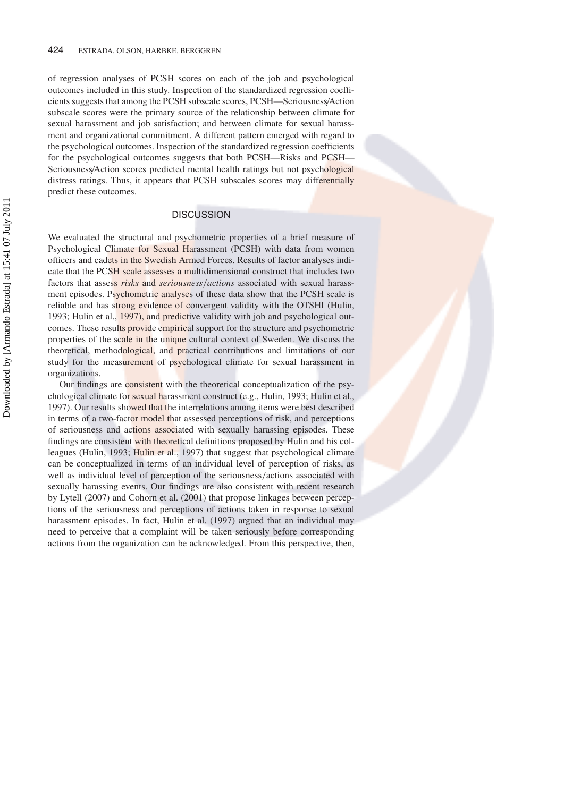of regression analyses of PCSH scores on each of the job and psychological outcomes included in this study. Inspection of the standardized regression coefficients suggests that among the PCSH subscale scores, PCSH—Seriousness/Action subscale scores were the primary source of the relationship between climate for sexual harassment and job satisfaction; and between climate for sexual harassment and organizational commitment. A different pattern emerged with regard to the psychological outcomes. Inspection of the standardized regression coefficients for the psychological outcomes suggests that both PCSH—Risks and PCSH— Seriousness/Action scores predicted mental health ratings but not psychological distress ratings. Thus, it appears that PCSH subscales scores may differentially predict these outcomes.

## **DISCUSSION**

We evaluated the structural and psychometric properties of a brief measure of Psychological Climate for Sexual Harassment (PCSH) with data from women officers and cadets in the Swedish Armed Forces. Results of factor analyses indicate that the PCSH scale assesses a multidimensional construct that includes two factors that assess *risks* and *seriousness*/*actions* associated with sexual harassment episodes. Psychometric analyses of these data show that the PCSH scale is reliable and has strong evidence of convergent validity with the OTSHI (Hulin, 1993; Hulin et al., 1997), and predictive validity with job and psychological outcomes. These results provide empirical support for the structure and psychometric properties of the scale in the unique cultural context of Sweden. We discuss the theoretical, methodological, and practical contributions and limitations of our study for the measurement of psychological climate for sexual harassment in organizations.

Our findings are consistent with the theoretical conceptualization of the psychological climate for sexual harassment construct (e.g., Hulin, 1993; Hulin et al., 1997). Our results showed that the interrelations among items were best described in terms of a two-factor model that assessed perceptions of risk, and perceptions of seriousness and actions associated with sexually harassing episodes. These findings are consistent with theoretical definitions proposed by Hulin and his colleagues (Hulin, 1993; Hulin et al., 1997) that suggest that psychological climate can be conceptualized in terms of an individual level of perception of risks, as well as individual level of perception of the seriousness/actions associated with sexually harassing events. Our findings are also consistent with recent research by Lytell (2007) and Cohorn et al. (2001) that propose linkages between perceptions of the seriousness and perceptions of actions taken in response to sexual harassment episodes. In fact, Hulin et al. (1997) argued that an individual may need to perceive that a complaint will be taken seriously before corresponding actions from the organization can be acknowledged. From this perspective, then,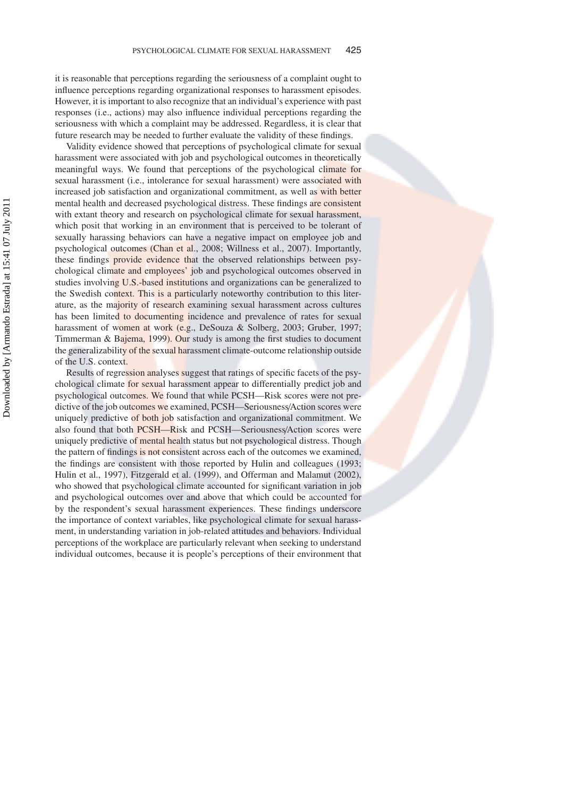it is reasonable that perceptions regarding the seriousness of a complaint ought to influence perceptions regarding organizational responses to harassment episodes. However, it is important to also recognize that an individual's experience with past responses (i.e., actions) may also influence individual perceptions regarding the seriousness with which a complaint may be addressed. Regardless, it is clear that future research may be needed to further evaluate the validity of these findings.

Validity evidence showed that perceptions of psychological climate for sexual harassment were associated with job and psychological outcomes in theoretically meaningful ways. We found that perceptions of the psychological climate for sexual harassment (i.e., intolerance for sexual harassment) were associated with increased job satisfaction and organizational commitment, as well as with better mental health and decreased psychological distress. These findings are consistent with extant theory and research on psychological climate for sexual harassment, which posit that working in an environment that is perceived to be tolerant of sexually harassing behaviors can have a negative impact on employee job and psychological outcomes (Chan et al., 2008; Willness et al., 2007). Importantly, these findings provide evidence that the observed relationships between psychological climate and employees' job and psychological outcomes observed in studies involving U.S.-based institutions and organizations can be generalized to the Swedish context. This is a particularly noteworthy contribution to this literature, as the majority of research examining sexual harassment across cultures has been limited to documenting incidence and prevalence of rates for sexual harassment of women at work (e.g., DeSouza & Solberg, 2003; Gruber, 1997; Timmerman & Bajema, 1999). Our study is among the first studies to document the generalizability of the sexual harassment climate-outcome relationship outside of the U.S. context.

Results of regression analyses suggest that ratings of specific facets of the psychological climate for sexual harassment appear to differentially predict job and psychological outcomes. We found that while PCSH—Risk scores were not predictive of the job outcomes we examined, PCSH—Seriousness/Action scores were uniquely predictive of both job satisfaction and organizational commitment. We also found that both PCSH—Risk and PCSH—Seriousness/Action scores were uniquely predictive of mental health status but not psychological distress. Though the pattern of findings is not consistent across each of the outcomes we examined, the findings are consistent with those reported by Hulin and colleagues (1993; Hulin et al., 1997), Fitzgerald et al. (1999), and Offerman and Malamut (2002), who showed that psychological climate accounted for significant variation in job and psychological outcomes over and above that which could be accounted for by the respondent's sexual harassment experiences. These findings underscore the importance of context variables, like psychological climate for sexual harassment, in understanding variation in job-related attitudes and behaviors. Individual perceptions of the workplace are particularly relevant when seeking to understand individual outcomes, because it is people's perceptions of their environment that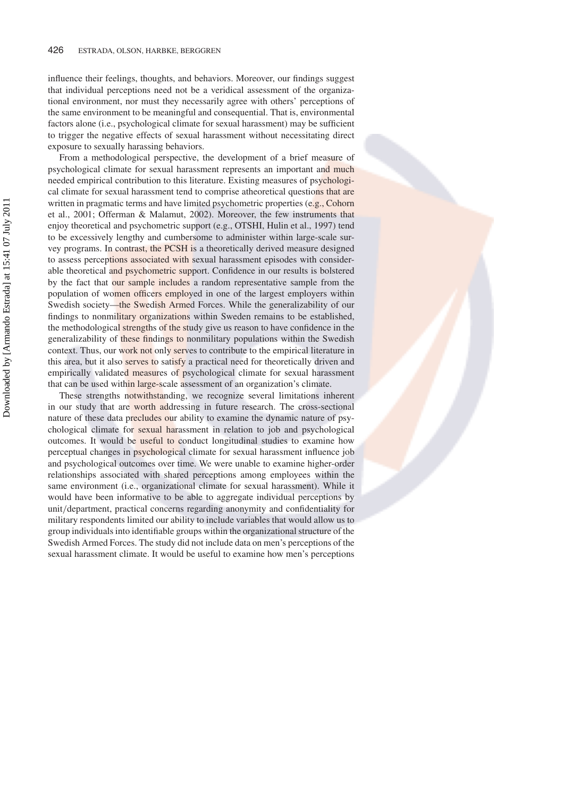influence their feelings, thoughts, and behaviors. Moreover, our findings suggest that individual perceptions need not be a veridical assessment of the organizational environment, nor must they necessarily agree with others' perceptions of the same environment to be meaningful and consequential. That is, environmental factors alone (i.e., psychological climate for sexual harassment) may be sufficient to trigger the negative effects of sexual harassment without necessitating direct exposure to sexually harassing behaviors.

From a methodological perspective, the development of a brief measure of psychological climate for sexual harassment represents an important and much needed empirical contribution to this literature. Existing measures of psychological climate for sexual harassment tend to comprise atheoretical questions that are written in pragmatic terms and have limited psychometric properties (e.g., Cohorn et al., 2001; Offerman & Malamut, 2002). Moreover, the few instruments that enjoy theoretical and psychometric support (e.g., OTSHI, Hulin et al., 1997) tend to be excessively lengthy and cumbersome to administer within large-scale survey programs. In contrast, the PCSH is a theoretically derived measure designed to assess perceptions associated with sexual harassment episodes with considerable theoretical and psychometric support. Confidence in our results is bolstered by the fact that our sample includes a random representative sample from the population of women officers employed in one of the largest employers within Swedish society—the Swedish Armed Forces. While the generalizability of our findings to nonmilitary organizations within Sweden remains to be established, the methodological strengths of the study give us reason to have confidence in the generalizability of these findings to nonmilitary populations within the Swedish context. Thus, our work not only serves to contribute to the empirical literature in this area, but it also serves to satisfy a practical need for theoretically driven and empirically validated measures of psychological climate for sexual harassment that can be used within large-scale assessment of an organization's climate.

These strengths notwithstanding, we recognize several limitations inherent in our study that are worth addressing in future research. The cross-sectional nature of these data precludes our ability to examine the dynamic nature of psychological climate for sexual harassment in relation to job and psychological outcomes. It would be useful to conduct longitudinal studies to examine how perceptual changes in psychological climate for sexual harassment influence job and psychological outcomes over time. We were unable to examine higher-order relationships associated with shared perceptions among employees within the same environment (i.e., organizational climate for sexual harassment). While it would have been informative to be able to aggregate individual perceptions by unit/department, practical concerns regarding anonymity and confidentiality for military respondents limited our ability to include variables that would allow us to group individuals into identifiable groups within the organizational structure of the Swedish Armed Forces. The study did not include data on men's perceptions of the sexual harassment climate. It would be useful to examine how men's perceptions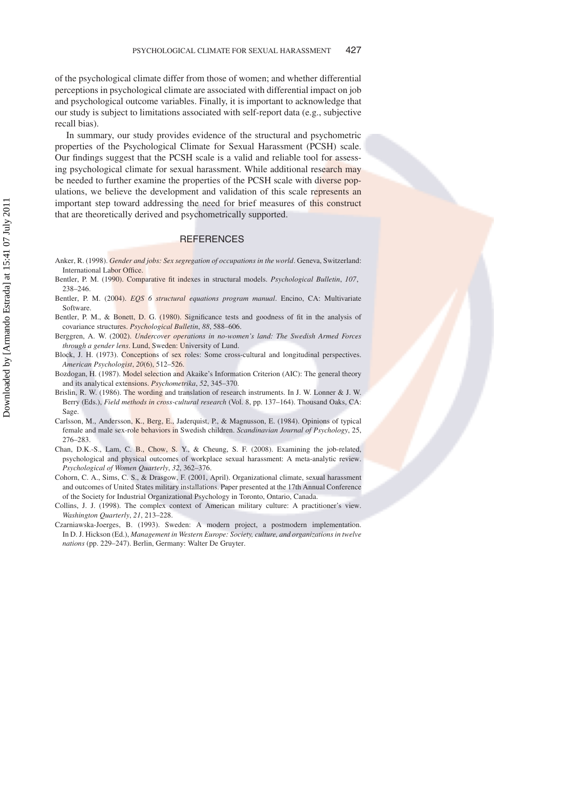of the psychological climate differ from those of women; and whether differential perceptions in psychological climate are associated with differential impact on job and psychological outcome variables. Finally, it is important to acknowledge that our study is subject to limitations associated with self-report data (e.g., subjective recall bias).

In summary, our study provides evidence of the structural and psychometric properties of the Psychological Climate for Sexual Harassment (PCSH) scale. Our findings suggest that the PCSH scale is a valid and reliable tool for assessing psychological climate for sexual harassment. While additional research may be needed to further examine the properties of the PCSH scale with diverse populations, we believe the development and validation of this scale represents an important step toward addressing the need for brief measures of this construct that are theoretically derived and psychometrically supported.

#### **REFERENCES**

- Anker, R. (1998). *Gender and jobs: Sex segregation of occupations in the world*. Geneva, Switzerland: International Labor Office.
- Bentler, P. M. (1990). Comparative fit indexes in structural models. *Psychological Bulletin*, *107*, 238–246.
- Bentler, P. M. (2004). *EQS 6 structural equations program manual*. Encino, CA: Multivariate Software.
- Bentler, P. M., & Bonett, D. G. (1980). Significance tests and goodness of fit in the analysis of covariance structures. *Psychological Bulletin*, *88*, 588–606.
- Berggren, A. W. (2002). *Undercover operations in no-women's land: The Swedish Armed Forces through a gender lens*. Lund, Sweden: University of Lund.
- Block, J. H. (1973). Conceptions of sex roles: Some cross-cultural and longitudinal perspectives. *American Psychologist*, *20*(6), 512–526.
- Bozdogan, H. (1987). Model selection and Akaike's Information Criterion (AIC): The general theory and its analytical extensions. *Psychometrika*, *52*, 345–370.
- Brislin, R. W. (1986). The wording and translation of research instruments. In J. W. Lonner & J. W. Berry (Eds.), *Field methods in cross-cultural research* (Vol. 8, pp. 137–164). Thousand Oaks, CA: Sage.
- Carlsson, M., Andersson, K., Berg, E., Jaderquist, P., & Magnusson, E. (1984). Opinions of typical female and male sex-role behaviors in Swedish children. *Scandinavian Journal of Psychology*, 25, 276–283.
- Chan, D.K.-S., Lam, C. B., Chow, S. Y., & Cheung, S. F. (2008). Examining the job-related, psychological and physical outcomes of workplace sexual harassment: A meta-analytic review. *Psychological of Women Quarterly*, *32*, 362–376.
- Cohorn, C. A., Sims, C. S., & Drasgow, F. (2001, April). Organizational climate, sexual harassment and outcomes of United States military installations. Paper presented at the 17th Annual Conference of the Society for Industrial Organizational Psychology in Toronto, Ontario, Canada.
- Collins, J. J. (1998). The complex context of American military culture: A practitioner's view. *Washington Quarterly*, *21*, 213–228.
- Czarniawska-Joerges, B. (1993). Sweden: A modern project, a postmodern implementation. In D. J. Hickson (Ed.), *Management in Western Europe: Society, culture, and organizations in twelve nations* (pp. 229–247). Berlin, Germany: Walter De Gruyter.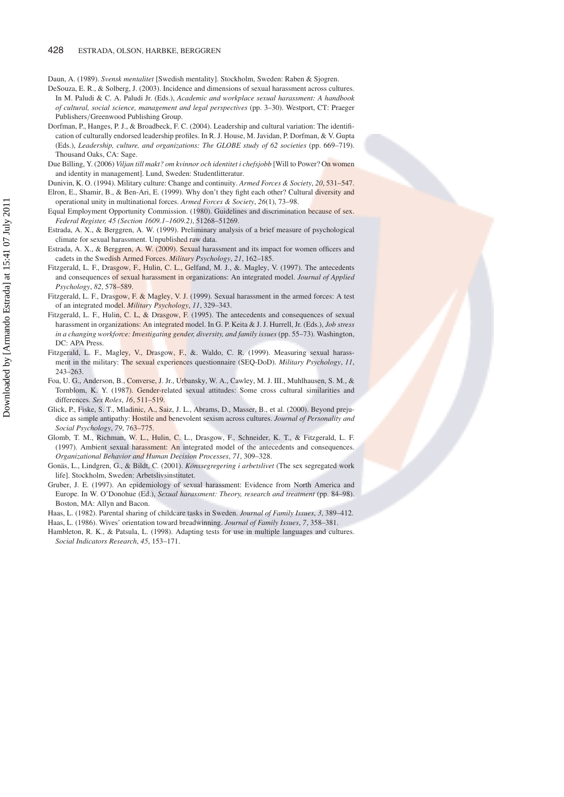Daun, A. (1989). *Svensk mentalitet* [Swedish mentality]. Stockholm, Sweden: Raben & Sjogren.

- DeSouza, E. R., & Solberg, J. (2003). Incidence and dimensions of sexual harassment across cultures. In M. Paludi & C. A. Paludi Jr. (Eds.), *Academic and workplace sexual harassment: A handbook of cultural, social science, management and legal perspectives* (pp. 3–30). Westport, CT: Praeger Publishers/Greenwood Publishing Group.
- Dorfman, P., Hanges, P. J., & Broadbeck, F. C. (2004). Leadership and cultural variation: The identification of culturally endorsed leadership profiles. In R. J. House, M. Javidan, P. Dorfman, & V. Gupta (Eds.), *Leadership, culture, and organizations: The GLOBE study of 62 societies* (pp. 669–719). Thousand Oaks, CA: Sage.
- Due Billing, Y. (2006) *Viljan till makt? om kvinnor och identitet i chefsjobb* [Will to Power? On women and identity in management]. Lund, Sweden: Studentlitteratur.
- Dunivin, K. O. (1994). Military culture: Change and continuity. *Armed Forces & Society*, *20*, 531–547. Elron, E., Shamir, B., & Ben-Ari, E. (1999). Why don't they fight each other? Cultural diversity and operational unity in multinational forces. *Armed Forces & Society*, *26*(1), 73–98.
- Equal Employment Opportunity Commission. (1980). Guidelines and discrimination because of sex. *Federal Register, 45 (Section 1609.1–1609.2)*, 51268–51269.
- Estrada, A. X., & Berggren, A. W. (1999). Preliminary analysis of a brief measure of psychological climate for sexual harassment. Unpublished raw data.
- Estrada, A. X., & Berggren, A. W. (2009). Sexual harassment and its impact for women officers and cadets in the Swedish Armed Forces. *Military Psychology*, *21*, 162–185.
- Fitzgerald, L. F., Drasgow, F., Hulin, C. L., Gelfand, M. J., &. Magley, V. (1997). The antecedents and consequences of sexual harassment in organizations: An integrated model. *Journal of Applied Psychology*, *82*, 578–589.
- Fitzgerald, L. F., Drasgow, F. & Magley, V. J. (1999). Sexual harassment in the armed forces: A test of an integrated model. *Military Psychology*, *11*, 329–343.
- Fitzgerald, L. F., Hulin, C. L, & Drasgow, F. (1995). The antecedents and consequences of sexual harassment in organizations: An integrated model. In G. P. Keita & J. J. Hurrell, Jr. (Eds.), *Job stress in a changing workforce: Investigating gender, diversity, and family issues* (pp. 55–73). Washington, DC: APA Press.
- Fitzgerald, L. F., Magley, V., Drasgow, F., &. Waldo, C. R. (1999). Measuring sexual harassment in the military: The sexual experiences questionnaire (SEQ-DoD). *Military Psychology*, *11*, 243–263.
- Foa, U. G., Anderson, B., Converse, J. Jr., Urbansky, W. A., Cawley, M. J. III., Muhlhausen, S. M., & Tornblom, K. Y. (1987). Gender-related sexual attitudes: Some cross cultural similarities and differences. *Sex Roles*, *16*, 511–519.
- Glick, P., Fiske, S. T., Mladinic, A., Saiz, J. L., Abrams, D., Masser, B., et al. (2000). Beyond prejudice as simple antipathy: Hostile and benevolent sexism across cultures. *Journal of Personality and Social Psychology*, *79*, 763–775.
- Glomb, T. M., Richman, W. L., Hulin, C. L., Drasgow, F., Schneider, K. T., & Fitzgerald, L. F. (1997). Ambient sexual harassment: An integrated model of the antecedents and consequences. *Organizational Behavior and Human Decision Processes*, *71*, 309–328.
- Gonäs, L., Lindgren, G., & Bildt, C. (2001). *Könssegregering i arbetslivet* (The sex segregated work life]. Stockholm, Sweden: Arbetslivsinstitutet.
- Gruber, J. E. (1997). An epidemiology of sexual harassment: Evidence from North America and Europe. In W. O'Donohue (Ed.), *Sexual harassment: Theory, research and treatment* (pp. 84–98). Boston, MA: Allyn and Bacon.
- Haas, L. (1982). Parental sharing of childcare tasks in Sweden. *Journal of Family Issues*, *3*, 389–412.
- Haas, L. (1986). Wives' orientation toward breadwinning. *Journal of Family Issues*, *7*, 358–381.
- Hambleton, R. K., & Patsula, L. (1998). Adapting tests for use in multiple languages and cultures. *Social Indicators Research*, *45*, 153–171.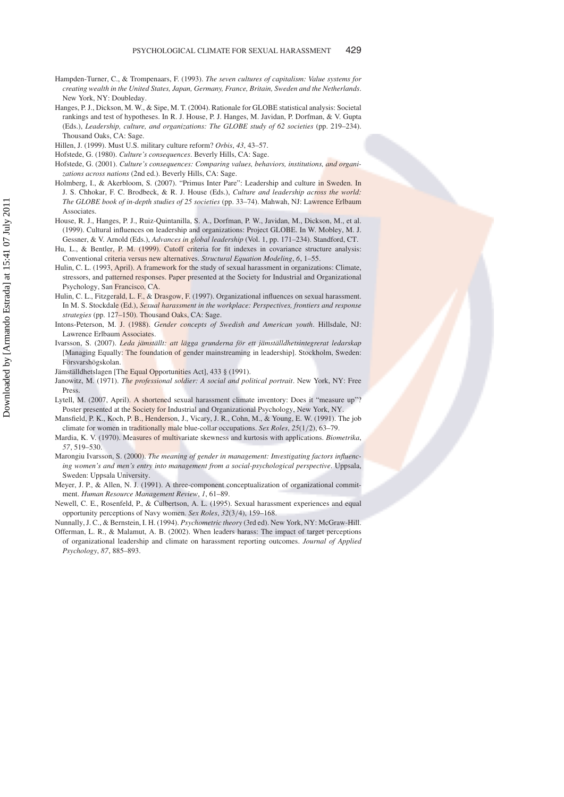- Hampden-Turner, C., & Trompenaars, F. (1993). *The seven cultures of capitalism: Value systems for creating wealth in the United States, Japan, Germany, France, Britain, Sweden and the Netherlands*. New York, NY: Doubleday.
- Hanges, P. J., Dickson, M. W., & Sipe, M. T. (2004). Rationale for GLOBE statistical analysis: Societal rankings and test of hypotheses. In R. J. House, P. J. Hanges, M. Javidan, P. Dorfman, & V. Gupta (Eds.), *Leadership, culture, and organizations: The GLOBE study of 62 societies* (pp. 219–234). Thousand Oaks, CA: Sage.
- Hillen, J. (1999). Must U.S. military culture reform? *Orbis*, *43*, 43–57.
- Hofstede, G. (1980). *Culture's consequences*. Beverly Hills, CA: Sage.
- Hofstede, G. (2001). *Culture's consequences: Comparing values, behaviors, institutions, and organizations across nations* (2nd ed.). Beverly Hills, CA: Sage.
- Holmberg, I., & Akerbloom, S. (2007). "Primus Inter Pare": Leadership and culture in Sweden. In J. S. Chhokar, F. C. Brodbeck, & R. J. House (Eds.), *Culture and leadership across the world: The GLOBE book of in-depth studies of 25 societies* (pp. 33–74). Mahwah, NJ: Lawrence Erlbaum **Associates**
- House, R. J., Hanges, P. J., Ruiz-Quintanilla, S. A., Dorfman, P. W., Javidan, M., Dickson, M., et al. (1999). Cultural influences on leadership and organizations: Project GLOBE. In W. Mobley, M. J. Gessner, & V. Arnold (Eds.), *Advances in global leadership* (Vol. 1, pp. 171–234). Standford, CT.
- Hu, L., & Bentler, P. M. (1999). Cutoff criteria for fit indexes in covariance structure analysis: Conventional criteria versus new alternatives. *Structural Equation Modeling*, *6*, 1–55.
- Hulin, C. L. (1993, April). A framework for the study of sexual harassment in organizations: Climate, stressors, and patterned responses. Paper presented at the Society for Industrial and Organizational Psychology, San Francisco, CA.
- Hulin, C. L., Fitzgerald, L. F., & Drasgow, F. (1997). Organizational influences on sexual harassment. In M. S. Stockdale (Ed.), *Sexual harassment in the workplace: Perspectives, frontiers and response strategies* (pp. 127–150). Thousand Oaks, CA: Sage.
- Intons-Peterson, M. J. (1988). *Gender concepts of Swedish and American youth*. Hillsdale, NJ: Lawrence Erlbaum Associates.
- Ivarsson, S. (2007). *Leda jämställt: att lägga grunderna för ett jämställdhetsintegrerat ledarskap* [Managing Equally: The foundation of gender mainstreaming in leadership]. Stockholm, Sweden: Försvarshögskolan.
- Jämställdhetslagen [The Equal Opportunities Act], 433 § (1991).
- Janowitz, M. (1971). *The professional soldier: A social and political portrait*. New York, NY: Free Press.
- Lytell, M. (2007, April). A shortened sexual harassment climate inventory: Does it "measure up"? Poster presented at the Society for Industrial and Organizational Psychology, New York, NY.
- Mansfield, P. K., Koch, P. B., Henderson, J., Vicary, J. R., Cohn, M., & Young, E. W. (1991). The job climate for women in traditionally male blue-collar occupations. *Sex Roles*, *25*(1/2), 63–79.
- Mardia, K. V. (1970). Measures of multivariate skewness and kurtosis with applications. *Biometrika*, *57*, 519–530.
- Marongiu Ivarsson, S. (2000). *The meaning of gender in management: Investigating factors influencing women's and men's entry into management from a social-psychological perspective*. Uppsala, Sweden: Uppsala University.
- Meyer, J. P., & Allen, N. J. (1991). A three-component conceptualization of organizational commitment. *Human Resource Management Review*, *1*, 61–89.
- Newell, C. E., Rosenfeld, P., & Culbertson, A. L. (1995). Sexual harassment experiences and equal opportunity perceptions of Navy women. *Sex Roles*, *32*(3/4), 159–168.
- Nunnally, J. C., & Bernstein, I. H. (1994). *Psychometric theory* (3rd ed). New York, NY: McGraw-Hill. Offerman, L. R., & Malamut, A. B. (2002). When leaders harass: The impact of target perceptions
- - of organizational leadership and climate on harassment reporting outcomes. *Journal of Applied Psychology*, *87*, 885–893.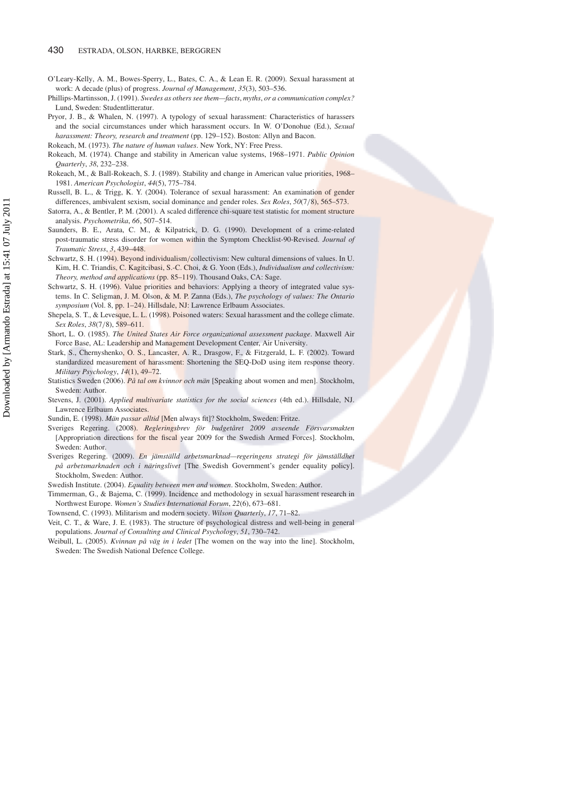- O'Leary-Kelly, A. M., Bowes-Sperry, L., Bates, C. A., & Lean E. R. (2009). Sexual harassment at work: A decade (plus) of progress. *Journal of Management*, *35*(3), 503–536.
- Phillips-Martinsson, J. (1991). *Swedes as others see them—facts*, *myths*, *or a communication complex?* Lund, Sweden: Studentlitteratur.
- Pryor, J. B., & Whalen, N. (1997). A typology of sexual harassment: Characteristics of harassers and the social circumstances under which harassment occurs. In W. O'Donohue (Ed.), *Sexual harassment: Theory, research and treatment* (pp. 129–152). Boston: Allyn and Bacon. Rokeach, M. (1973). *The nature of human values*. New York, NY: Free Press.
- Rokeach, M. (1974). Change and stability in American value systems, 1968–1971. *Public Opinion Quarterly*, *38*, 232–238.
- Rokeach, M., & Ball-Rokeach, S. J. (1989). Stability and change in American value priorities, 1968– 1981. *American Psychologist*, *44*(5), 775–784.
- Russell, B. L., & Trigg, K. Y. (2004). Tolerance of sexual harassment: An examination of gender differences, ambivalent sexism, social dominance and gender roles. *Sex Roles*, *50*(7/8), 565–573.
- Satorra, A., & Bentler, P. M. (2001). A scaled difference chi-square test statistic for moment structure analysis. *Psychometrika*, *66*, 507–514.
- Saunders, B. E., Arata, C. M., & Kilpatrick, D. G. (1990). Development of a crime-related post-traumatic stress disorder for women within the Symptom Checklist-90-Revised. *Journal of Traumatic Stress*, *3*, 439–448.
- Schwartz, S. H. (1994). Beyond individualism/collectivism: New cultural dimensions of values. In U. Kim, H. C. Triandis, C. Kagitcibasi, S.-C. Choi, & G. Yoon (Eds.), *Individualism and collectivism: Theory, method and applications* (pp. 85–119). Thousand Oaks, CA: Sage.
- Schwartz, S. H. (1996). Value priorities and behaviors: Applying a theory of integrated value systems. In C. Seligman, J. M. Olson, & M. P. Zanna (Eds.), *The psychology of values: The Ontario symposium* (Vol. 8, pp. 1–24). Hillsdale, NJ: Lawrence Erlbaum Associates.
- Shepela, S. T., & Levesque, L. L. (1998). Poisoned waters: Sexual harassment and the college climate. *Sex Roles*, *38*(7/8), 589–611.
- Short, L. O. (1985). *The United States Air Force organizational assessment package*. Maxwell Air Force Base, AL: Leadership and Management Development Center, Air University.
- Stark, S., Chernyshenko, O. S., Lancaster, A. R., Drasgow, F., & Fitzgerald, L. F. (2002). Toward standardized measurement of harassment: Shortening the SEQ-DoD using item response theory. *Military Psychology*, *14*(1), 49–72.
- Statistics Sweden (2006). *På tal om kvinnor och män* [Speaking about women and men]. Stockholm, Sweden: Author.
- Stevens, J. (2001). *Applied multivariate statistics for the social sciences* (4th ed.). Hillsdale, NJ. Lawrence Erlbaum Associates.
- Sundin, E. (1998). *Män passar alltid* [Men always fit]? Stockholm, Sweden: Fritze.
- Sveriges Regering. (2008). *Regleringsbrev för budgetåret 2009 avseende Försvarsmakten* [Appropriation directions for the fiscal year 2009 for the Swedish Armed Forces]. Stockholm, Sweden: Author.
- Sveriges Regering. (2009). *En jämställd arbetsmarknad—regeringens strategi för jämställdhet på arbetsmarknaden och i näringslivet* [The Swedish Government's gender equality policy]. Stockholm, Sweden: Author.
- Swedish Institute. (2004). *Equality between men and women*. Stockholm, Sweden: Author.
- Timmerman, G., & Bajema, C. (1999). Incidence and methodology in sexual harassment research in Northwest Europe. *Women's Studies International Forum*, *22*(6), 673–681.
- Townsend, C. (1993). Militarism and modern society. *Wilson Quarterly*, *17*, 71–82.
- Veit, C. T., & Ware, J. E. (1983). The structure of psychological distress and well-being in general populations. *Journal of Consulting and Clinical Psychology*, *51*, 730–742.
- Weibull, L. (2005). *Kvinnan på väg in i ledet* [The women on the way into the line]. Stockholm, Sweden: The Swedish National Defence College.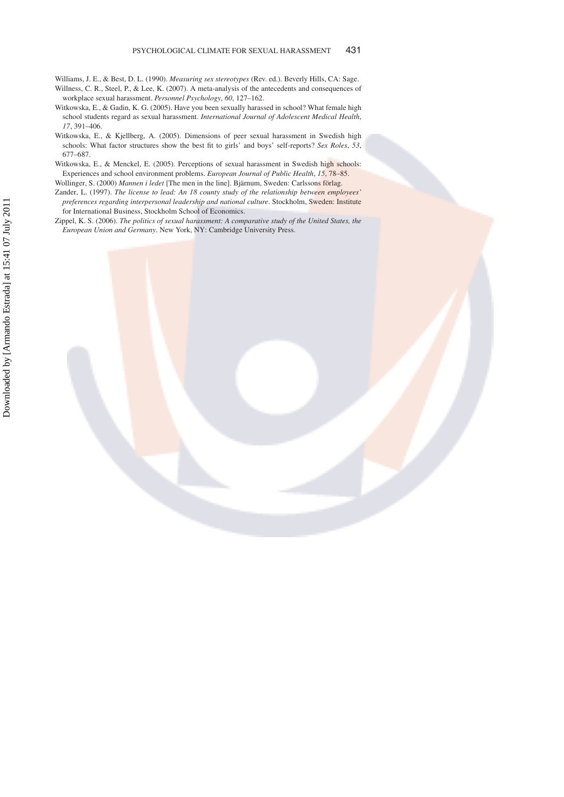Williams, J. E., & Best, D. L. (1990). *Measuring sex stereotypes* (Rev. ed.). Beverly Hills, CA: Sage. Willness, C. R., Steel, P., & Lee, K. (2007). A meta-analysis of the antecedents and consequences of workplace sexual harassment. *Personnel Psychology*, *60*, 127–162.

- Witkowska, E., & Gadin, K. G. (2005). Have you been sexually harassed in school? What female high school students regard as sexual harassment. *International Journal of Adolescent Medical Health*, *17*, 391–406.
- Witkowska, E., & Kjellberg, A. (2005). Dimensions of peer sexual harassment in Swedish high schools: What factor structures show the best fit to girls' and boys' self-reports? *Sex Roles*, *53*, 677–687.

Witkowska, E., & Menckel, E. (2005). Perceptions of sexual harassment in Swedish high schools: Experiences and school environment problems. *European Journal of Public Health*, *15*, 78–85. Wollinger, S. (2000) *Mannen i ledet* [The men in the line]. Bjärnum, Sweden: Carlssons förlag.

Zander, L. (1997). *The license to lead: An 18 county study of the relationship between employees' preferences regarding interpersonal leadership and national culture*. Stockholm, Sweden: Institute for International Business, Stockholm School of Economics.

Zippel, K. S. (2006). *The politics of sexual harassment: A comparative study of the United States, the European Union and Germany*. New York, NY: Cambridge University Press.